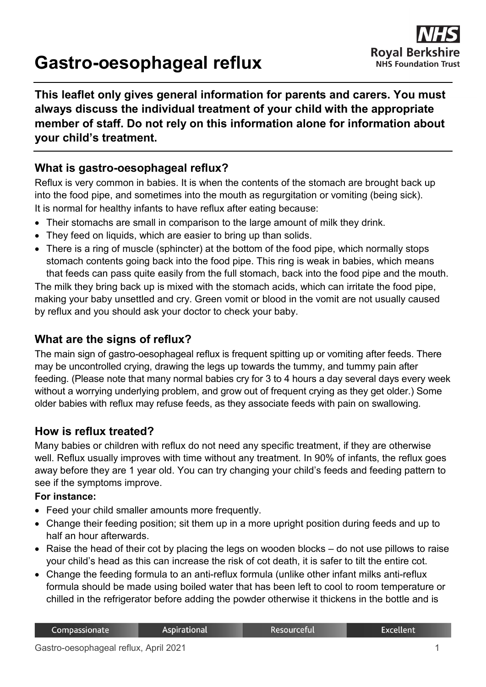# **Gastro-oesophageal reflux**



**This leaflet only gives general information for parents and carers. You must always discuss the individual treatment of your child with the appropriate member of staff. Do not rely on this information alone for information about your child's treatment.**

## **What is gastro-oesophageal reflux?**

Reflux is very common in babies. It is when the contents of the stomach are brought back up into the food pipe, and sometimes into the mouth as regurgitation or vomiting (being sick). It is normal for healthy infants to have reflux after eating because:

- Their stomachs are small in comparison to the large amount of milk they drink.
- They feed on liquids, which are easier to bring up than solids.
- There is a ring of muscle (sphincter) at the bottom of the food pipe, which normally stops stomach contents going back into the food pipe. This ring is weak in babies, which means that feeds can pass quite easily from the full stomach, back into the food pipe and the mouth.

The milk they bring back up is mixed with the stomach acids, which can irritate the food pipe, making your baby unsettled and cry. Green vomit or blood in the vomit are not usually caused by reflux and you should ask your doctor to check your baby.

## **What are the signs of reflux?**

The main sign of gastro-oesophageal reflux is frequent spitting up or vomiting after feeds. There may be uncontrolled crying, drawing the legs up towards the tummy, and tummy pain after feeding. (Please note that many normal babies cry for 3 to 4 hours a day several days every week without a worrying underlying problem, and grow out of frequent crying as they get older.) Some older babies with reflux may refuse feeds, as they associate feeds with pain on swallowing.

## **How is reflux treated?**

Many babies or children with reflux do not need any specific treatment, if they are otherwise well. Reflux usually improves with time without any treatment. In 90% of infants, the reflux goes away before they are 1 year old. You can try changing your child's feeds and feeding pattern to see if the symptoms improve.

#### **For instance:**

- Feed your child smaller amounts more frequently.
- Change their feeding position; sit them up in a more upright position during feeds and up to half an hour afterwards.
- Raise the head of their cot by placing the legs on wooden blocks do not use pillows to raise your child's head as this can increase the risk of cot death, it is safer to tilt the entire cot.
- Change the feeding formula to an anti-reflux formula (unlike other infant milks anti-reflux formula should be made using boiled water that has been left to cool to room temperature or chilled in the refrigerator before adding the powder otherwise it thickens in the bottle and is

**Excellent**